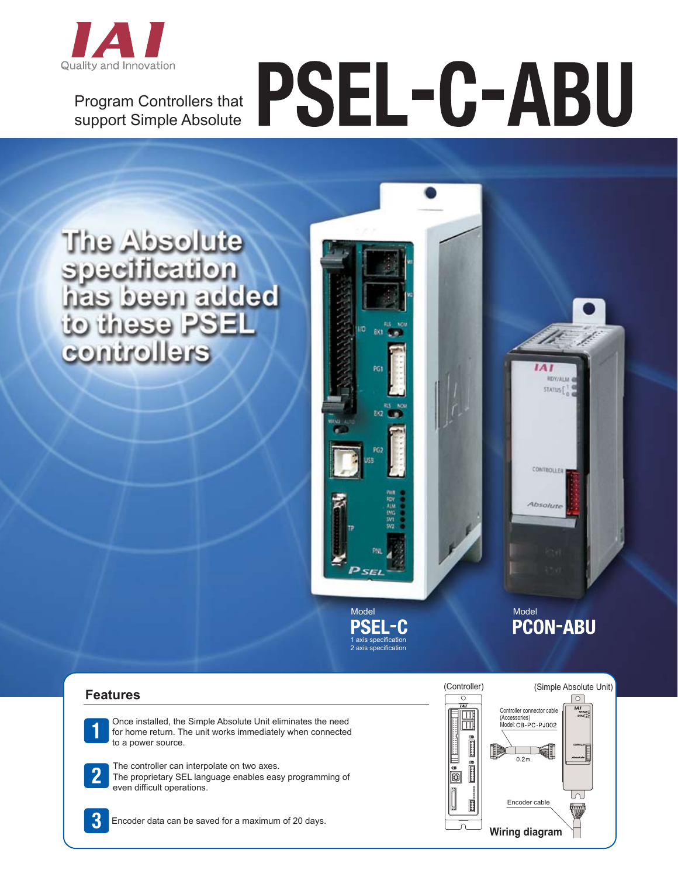

Program Controllers that support Simple Absolute

# PSEL-C-ABU

The Absolute specification<br>has been added to these PSEL controllers

> Model PSEL-C 1 axis specification 2 axis specification

Model<br>**PCON-ABU** 

**IAI RDY/ALM** STATUS [

CONTROLLER

Absolu

# **Features**

Once installed, the Simple Absolute Unit eliminates the need for home return. The unit works immediately when connected to a power source.

The controller can interpolate on two axes. The proprietary SEL language enables easy programming of even difficult operations.



Encoder data can be saved for a maximum of 20 days.